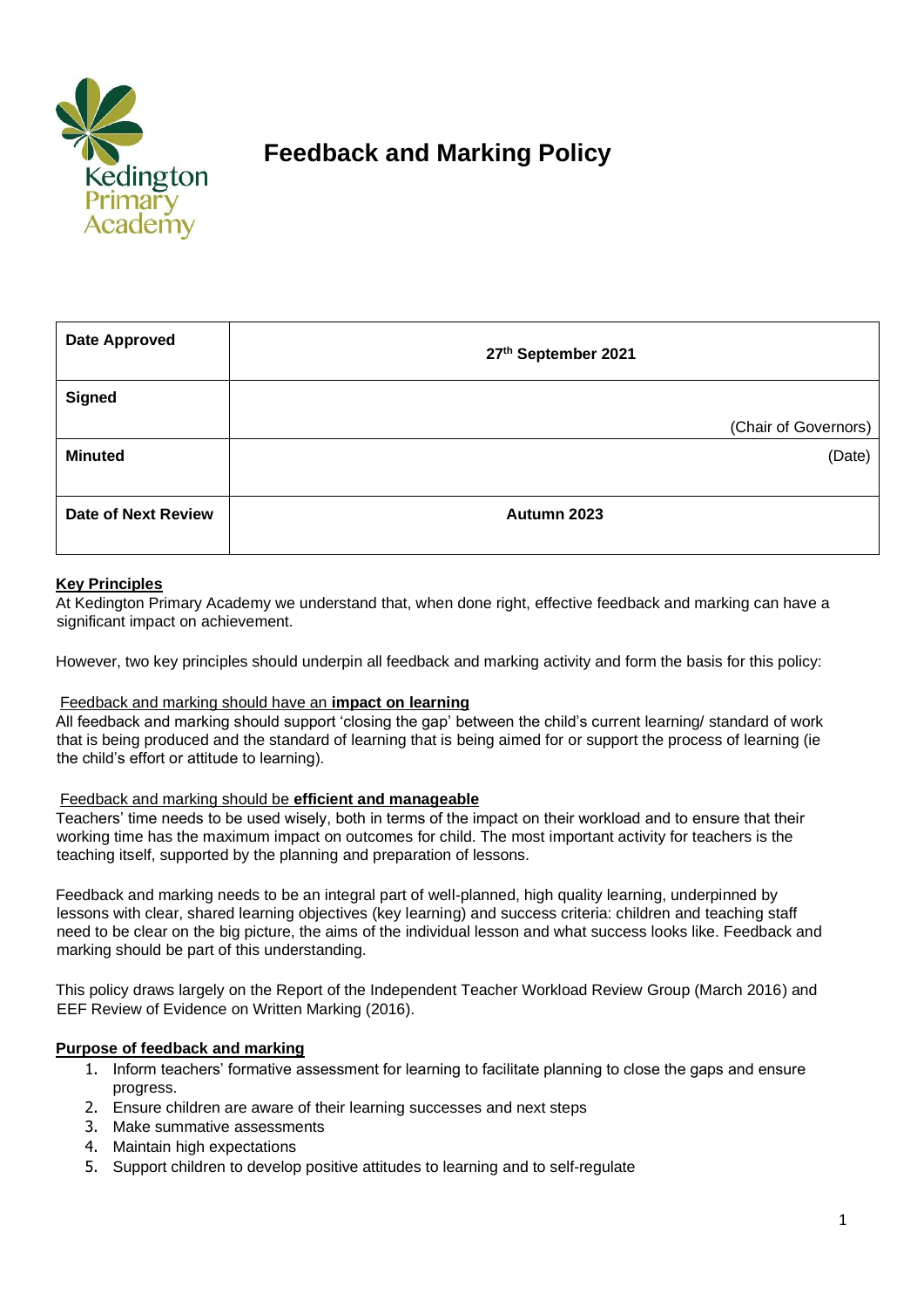

# **Feedback and Marking Policy**

| <b>Date Approved</b>       | 27th September 2021  |
|----------------------------|----------------------|
| <b>Signed</b>              |                      |
|                            | (Chair of Governors) |
| <b>Minuted</b>             | (Date)               |
|                            |                      |
| <b>Date of Next Review</b> | Autumn 2023          |
|                            |                      |

# **Key Principles**

At Kedington Primary Academy we understand that, when done right, effective feedback and marking can have a significant impact on achievement.

However, two key principles should underpin all feedback and marking activity and form the basis for this policy:

## Feedback and marking should have an **impact on learning**

All feedback and marking should support 'closing the gap' between the child's current learning/ standard of work that is being produced and the standard of learning that is being aimed for or support the process of learning (ie the child's effort or attitude to learning).

#### Feedback and marking should be **efficient and manageable**

Teachers' time needs to be used wisely, both in terms of the impact on their workload and to ensure that their working time has the maximum impact on outcomes for child. The most important activity for teachers is the teaching itself, supported by the planning and preparation of lessons.

Feedback and marking needs to be an integral part of well-planned, high quality learning, underpinned by lessons with clear, shared learning objectives (key learning) and success criteria: children and teaching staff need to be clear on the big picture, the aims of the individual lesson and what success looks like. Feedback and marking should be part of this understanding.

This policy draws largely on the Report of the Independent Teacher Workload Review Group (March 2016) and EEF Review of Evidence on Written Marking (2016).

## **Purpose of feedback and marking**

- 1. Inform teachers' formative assessment for learning to facilitate planning to close the gaps and ensure progress.
- 2. Ensure children are aware of their learning successes and next steps
- 3. Make summative assessments
- 4. Maintain high expectations
- 5. Support children to develop positive attitudes to learning and to self-regulate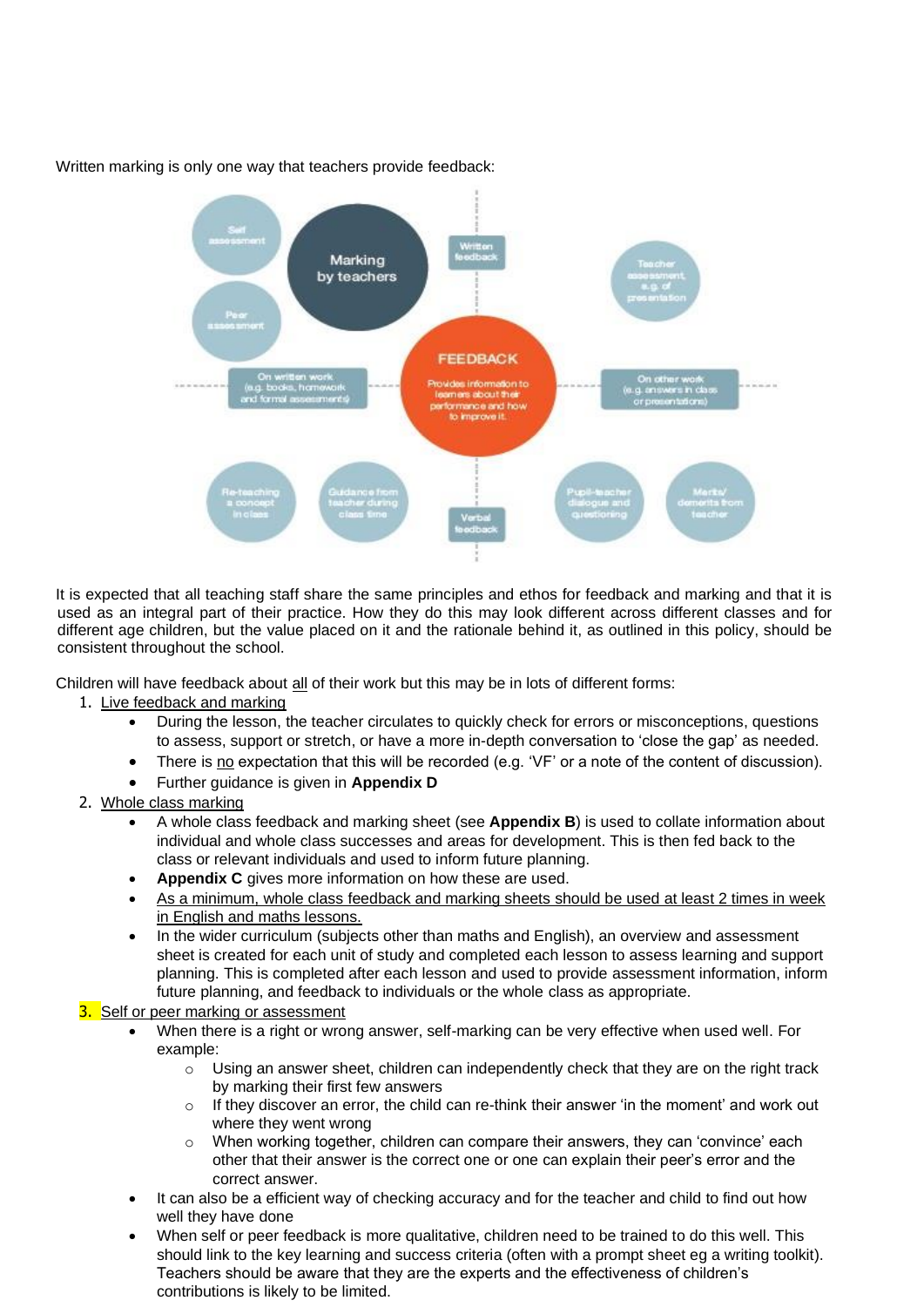

Written marking is only one way that teachers provide feedback:

It is expected that all teaching staff share the same principles and ethos for feedback and marking and that it is used as an integral part of their practice. How they do this may look different across different classes and for different age children, but the value placed on it and the rationale behind it, as outlined in this policy, should be consistent throughout the school.

Children will have feedback about all of their work but this may be in lots of different forms:

## 1. Live feedback and marking

- During the lesson, the teacher circulates to quickly check for errors or misconceptions, questions to assess, support or stretch, or have a more in-depth conversation to 'close the gap' as needed.
- There is no expectation that this will be recorded (e.g. 'VF' or a note of the content of discussion).
- Further guidance is given in **Appendix D**
- 2. Whole class marking
	- A whole class feedback and marking sheet (see **Appendix B**) is used to collate information about individual and whole class successes and areas for development. This is then fed back to the class or relevant individuals and used to inform future planning.
	- **Appendix C** gives more information on how these are used.
	- As a minimum, whole class feedback and marking sheets should be used at least 2 times in week in English and maths lessons.
	- In the wider curriculum (subjects other than maths and English), an overview and assessment sheet is created for each unit of study and completed each lesson to assess learning and support planning. This is completed after each lesson and used to provide assessment information, inform future planning, and feedback to individuals or the whole class as appropriate.
- 3. Self or peer marking or assessment
	- When there is a right or wrong answer, self-marking can be very effective when used well. For example:
		- o Using an answer sheet, children can independently check that they are on the right track by marking their first few answers
		- $\circ$  If they discover an error, the child can re-think their answer 'in the moment' and work out where they went wrong
		- $\circ$  When working together, children can compare their answers, they can 'convince' each other that their answer is the correct one or one can explain their peer's error and the correct answer.
	- It can also be a efficient way of checking accuracy and for the teacher and child to find out how well they have done
	- When self or peer feedback is more qualitative, children need to be trained to do this well. This should link to the key learning and success criteria (often with a prompt sheet eg a writing toolkit). Teachers should be aware that they are the experts and the effectiveness of children's contributions is likely to be limited.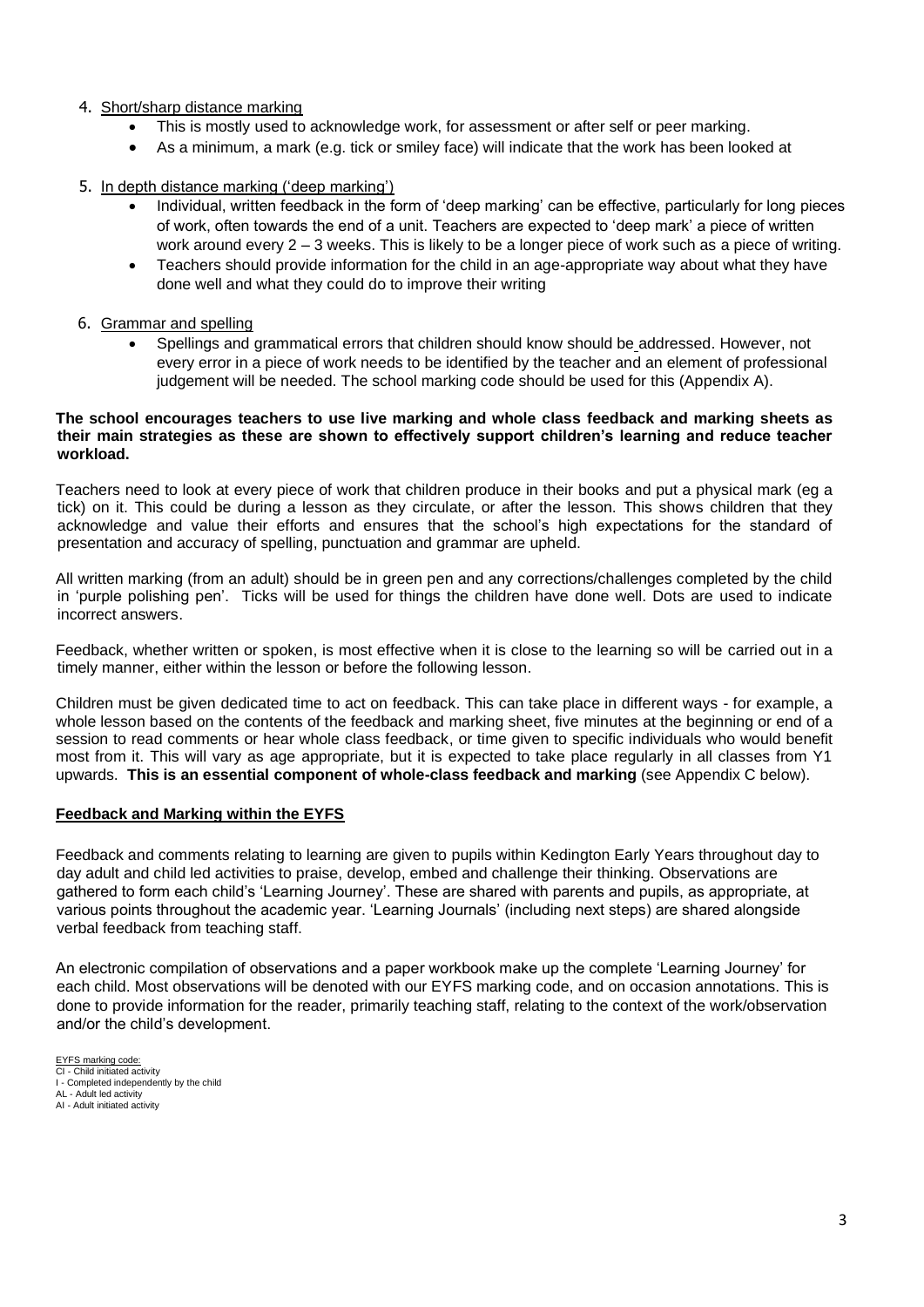### 4. Short/sharp distance marking

- This is mostly used to acknowledge work, for assessment or after self or peer marking.
- As a minimum, a mark (e.g. tick or smiley face) will indicate that the work has been looked at

### 5. In depth distance marking ('deep marking')

- Individual, written feedback in the form of 'deep marking' can be effective, particularly for long pieces of work, often towards the end of a unit. Teachers are expected to 'deep mark' a piece of written work around every 2 – 3 weeks. This is likely to be a longer piece of work such as a piece of writing.
- Teachers should provide information for the child in an age-appropriate way about what they have done well and what they could do to improve their writing
- 6. Grammar and spelling
	- Spellings and grammatical errors that children should know should be addressed. However, not every error in a piece of work needs to be identified by the teacher and an element of professional judgement will be needed. The school marking code should be used for this (Appendix A).

#### **The school encourages teachers to use live marking and whole class feedback and marking sheets as their main strategies as these are shown to effectively support children's learning and reduce teacher workload.**

Teachers need to look at every piece of work that children produce in their books and put a physical mark (eg a tick) on it. This could be during a lesson as they circulate, or after the lesson. This shows children that they acknowledge and value their efforts and ensures that the school's high expectations for the standard of presentation and accuracy of spelling, punctuation and grammar are upheld.

All written marking (from an adult) should be in green pen and any corrections/challenges completed by the child in 'purple polishing pen'. Ticks will be used for things the children have done well. Dots are used to indicate incorrect answers.

Feedback, whether written or spoken, is most effective when it is close to the learning so will be carried out in a timely manner, either within the lesson or before the following lesson.

Children must be given dedicated time to act on feedback. This can take place in different ways - for example, a whole lesson based on the contents of the feedback and marking sheet, five minutes at the beginning or end of a session to read comments or hear whole class feedback, or time given to specific individuals who would benefit most from it. This will vary as age appropriate, but it is expected to take place regularly in all classes from Y1 upwards. **This is an essential component of whole-class feedback and marking** (see Appendix C below).

## **Feedback and Marking within the EYFS**

Feedback and comments relating to learning are given to pupils within Kedington Early Years throughout day to day adult and child led activities to praise, develop, embed and challenge their thinking. Observations are gathered to form each child's 'Learning Journey'. These are shared with parents and pupils, as appropriate, at various points throughout the academic year. 'Learning Journals' (including next steps) are shared alongside verbal feedback from teaching staff.

An electronic compilation of observations and a paper workbook make up the complete 'Learning Journey' for each child. Most observations will be denoted with our EYFS marking code, and on occasion annotations. This is done to provide information for the reader, primarily teaching staff, relating to the context of the work/observation and/or the child's development.

EYFS marking code: CI - Child initiated activity

AL - Adult led activity

I - Completed independently by the child

AI - Adult initiated activity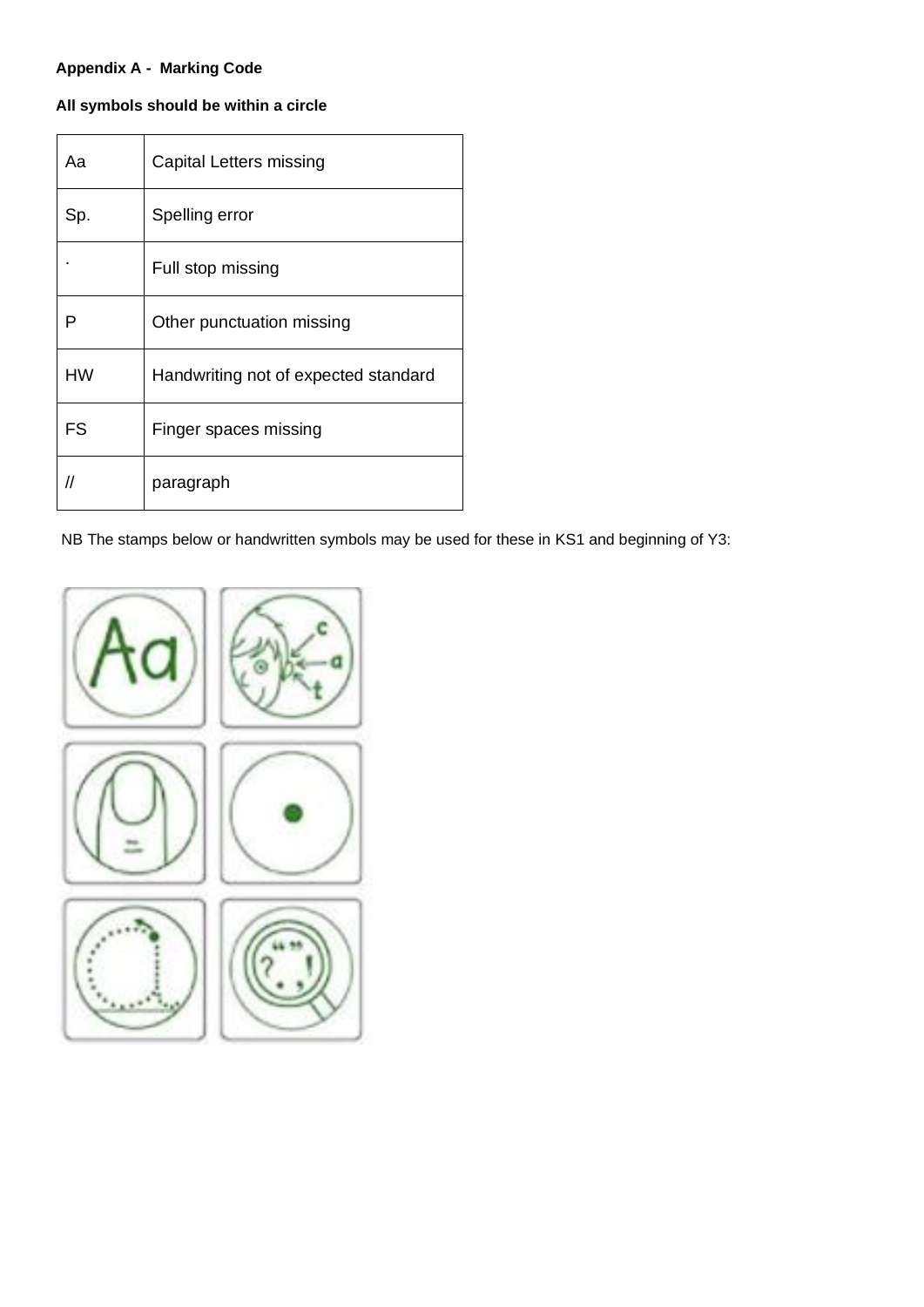# **Appendix A - Marking Code**

# **All symbols should be within a circle**

| Aa        | Capital Letters missing              |
|-----------|--------------------------------------|
| Sp.       | Spelling error                       |
|           | Full stop missing                    |
| Р         | Other punctuation missing            |
| <b>HW</b> | Handwriting not of expected standard |
| FS        | Finger spaces missing                |
| //        | paragraph                            |

NB The stamps below or handwritten symbols may be used for these in KS1 and beginning of Y3:

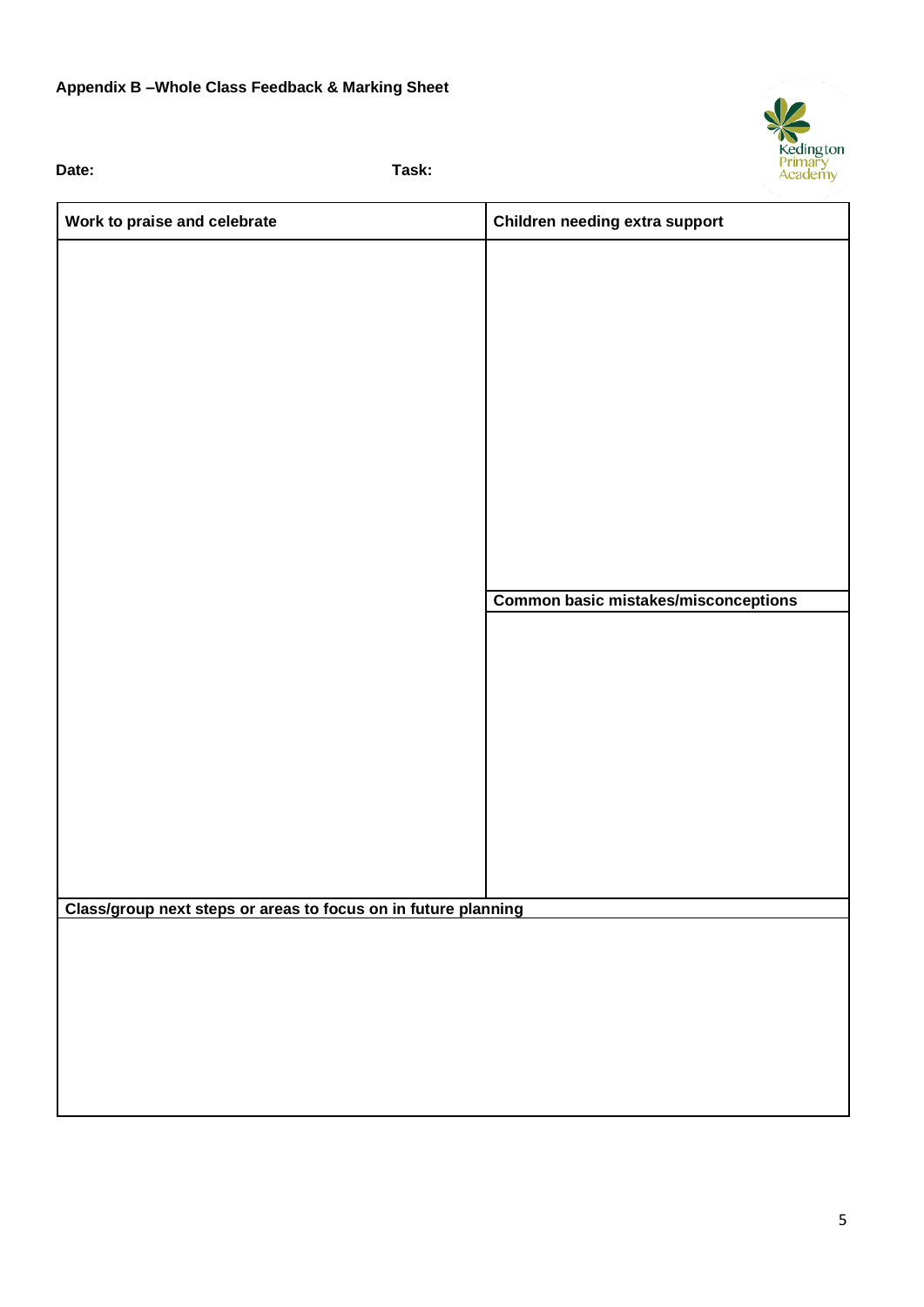# **Appendix B –Whole Class Feedback & Marking Sheet**

**Date: Task:**